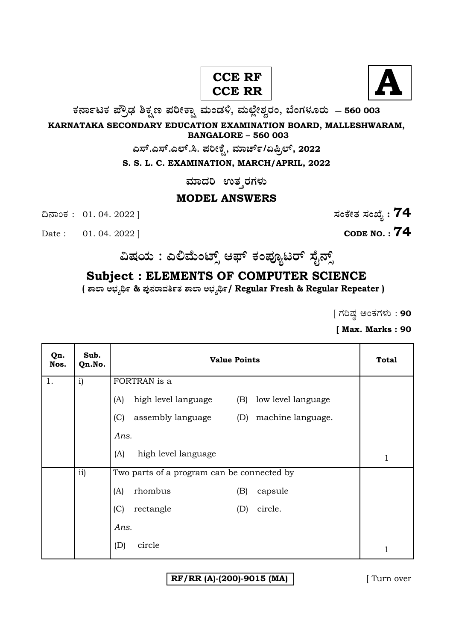



**O⁄´¤%lO⁄ ÆË√v⁄ ÃO⁄–y Æ⁄¬fiO¤– »⁄flMs⁄ÿ, »⁄fl≈Ê«fiÀ⁄ ¡⁄M, ∑ÊMV⁄◊⁄‡¡⁄fl — 560 003** 

**KARNATAKA SECONDARY EDUCATION EXAMINATION BOARD, MALLESHWARAM, BANGALORE – 560 003** 

**G—È.G—È.G≈È.". Æ⁄¬fiOÊ⁄–, »⁄·¤^È%/HØ√≈È, 2022**

**S. S. L. C. EXAMINATION, MARCH/APRIL, 2022** 

ಮಾದರಿ ಉತ**್ತರಗ**ಳು

#### **MODEL ANSWERS**

¶´¤MO⁄ : 01. 04. 2022 ] **—⁄MOÊfi}⁄ —⁄MSÊ¿ : 74**

Date : 01. 04. 2022 ] **CODE NO. : 74** 

**ವಿಷಯ : ಎಲಿಮೆಂಟ್ಸ್ ಆಫ್ ಕಂಪ್ಯೂಟರ್ ಸೈನ್ಸ್** 

# **Subject : ELEMENTS OF COMPUTER SCIENCE**

**( À¤≈¤ @∫⁄¥¿£% & Æ⁄'¥´⁄¡¤»⁄~%}⁄ À¤≈¤ @∫⁄¥¿£%/ Regular Fresh & Regular Repeater )** 

 $[$  ಗರಿಷ್ಠ ಅಂಕಗಳು : 90

**[ Max. Marks : 90** 

| Qn.<br>Nos. | Sub.<br>Qn.No. | <b>Value Points</b>                        |                    | <b>Total</b> |
|-------------|----------------|--------------------------------------------|--------------------|--------------|
| 1.          | $\mathbf{i}$   | FORTRAN is a                               |                    |              |
|             |                | high level language (B)<br>(A)             | low level language |              |
|             |                | (C)<br>assembly language (D)               | machine language.  |              |
|             |                | Ans.                                       |                    |              |
|             |                | high level language<br>(A)                 |                    | 1            |
|             | ii)            | Two parts of a program can be connected by |                    |              |
|             |                | rhombus<br>(A)                             | (B)<br>capsule     |              |
|             |                | (C)<br>rectangle                           | circle.<br>(D)     |              |
|             |                | Ans.                                       |                    |              |
|             |                | (D)<br>circle                              |                    | 1            |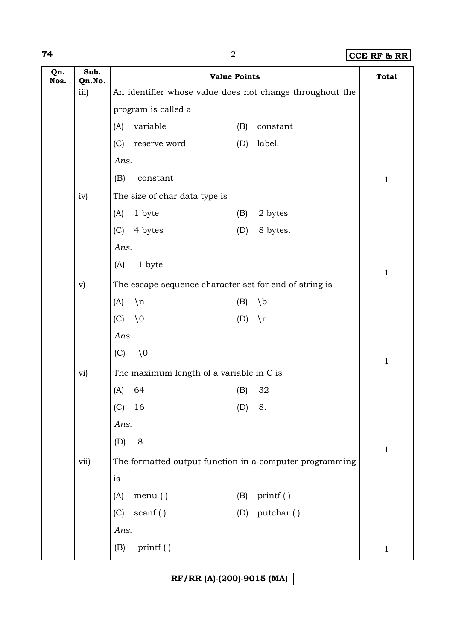#### **74** 2 **CCE RF & RR**

| Qn.<br>Nos. | Sub.<br>Qn.No. | <b>Value Points</b>                                      |                      | <b>Total</b> |
|-------------|----------------|----------------------------------------------------------|----------------------|--------------|
|             | iii)           | An identifier whose value does not change throughout the |                      |              |
|             |                | program is called a                                      |                      |              |
|             |                | variable<br>(A)                                          | (B)<br>constant      |              |
|             |                | (C)<br>reserve word                                      | label.<br>(D)        |              |
|             |                | Ans.                                                     |                      |              |
|             |                | constant<br>(B)                                          |                      | $\mathbf{1}$ |
|             | iv)            | The size of char data type is                            |                      |              |
|             |                | 1 byte<br>(A)                                            | 2 bytes<br>(B)       |              |
|             |                | (C)<br>4 bytes                                           | 8 bytes.<br>(D)      |              |
|             |                | Ans.                                                     |                      |              |
|             |                | 1 byte<br>(A)                                            |                      |              |
|             | $\mathbf{v})$  | The escape sequence character set for end of string is   |                      | $\mathbf{1}$ |
|             |                | (A)<br>$\n\langle n$                                     | (B)<br>$\setminus b$ |              |
|             |                | (C)<br>$\setminus$ 0                                     | (D)<br>$\chi$ r      |              |
|             |                | Ans.                                                     |                      |              |
|             |                | $\setminus 0$<br>(C)                                     |                      |              |
|             |                |                                                          |                      | $\mathbf{1}$ |
|             | vi)            | The maximum length of a variable in C is                 |                      |              |
|             |                | 64<br>(A)                                                | 32<br>(B)            |              |
|             |                | 16<br>(C)                                                | 8.<br>(D)            |              |
|             |                | Ans.                                                     |                      |              |
|             |                | $8\,$<br>(D)                                             |                      | $\mathbf{1}$ |
|             | vii)           | The formatted output function in a computer programming  |                      |              |
|             |                | is                                                       |                      |              |
|             |                | menu ()<br>(A)                                           | printf ()<br>(B)     |              |
|             |                | (C)<br>scanf()                                           | putchar ()<br>(D)    |              |
|             |                | Ans.                                                     |                      |              |
|             |                | printf ()<br>(B)                                         |                      | $\mathbf{1}$ |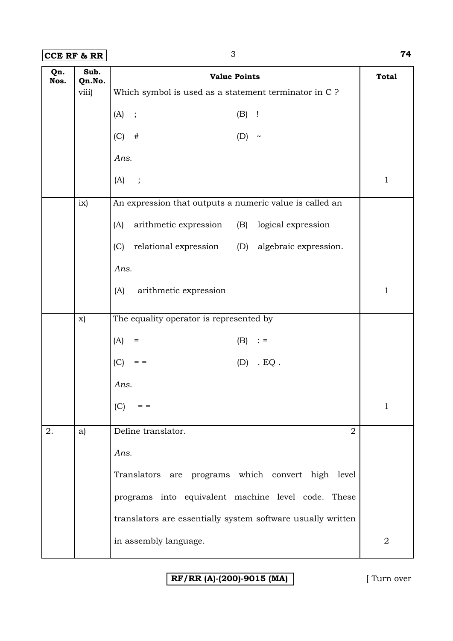**CCE RF & RR** 3 **74** 

| Qn.<br>Nos. | Sub.<br>Qn.No. | <b>Value Points</b>                                         | <b>Total</b>   |
|-------------|----------------|-------------------------------------------------------------|----------------|
|             | viii)          | Which symbol is used as a statement terminator in C ?       |                |
|             |                | $(A)$ ;<br>$(B)$ !                                          |                |
|             |                | (C)<br>$\#$<br>(D)<br>$\thicksim$                           |                |
|             |                | Ans.                                                        |                |
|             |                | (A)<br>$\ddots$                                             | $\mathbf{1}$   |
|             | ix)            | An expression that outputs a numeric value is called an     |                |
|             |                | arithmetic expression (B)<br>logical expression<br>(A)      |                |
|             |                | relational expression (D) algebraic expression.<br>(C)      |                |
|             |                | Ans.                                                        |                |
|             |                | arithmetic expression<br>(A)                                | $\mathbf{1}$   |
|             | $\mathbf{x}$   | The equality operator is represented by                     |                |
|             |                | (A)<br>$(B) : =$<br>$=$                                     |                |
|             |                | (C)<br>$(D)$ . EQ.<br>$=$ $=$                               |                |
|             |                | Ans.                                                        |                |
|             |                | (C)<br>$=$ $=$                                              | 1              |
| 2.          | a)             | Define translator.<br>$\overline{2}$                        |                |
|             |                | Ans.                                                        |                |
|             |                | Translators are programs which convert high level           |                |
|             |                | programs into equivalent machine level code. These          |                |
|             |                | translators are essentially system software usually written |                |
|             |                | in assembly language.                                       | $\overline{2}$ |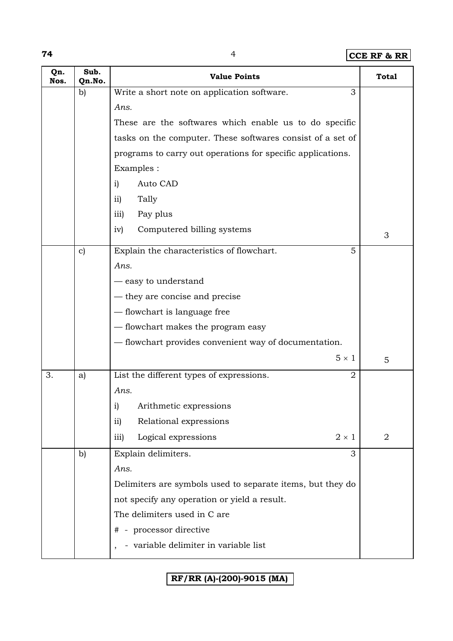**74** 4 **CCE RF & RR**

| Qn.<br>Nos. | Sub.<br>Qn.No. | <b>Value Points</b>                                         | <b>Total</b>   |
|-------------|----------------|-------------------------------------------------------------|----------------|
|             | b)             | Write a short note on application software.<br>3            |                |
|             |                | Ans.                                                        |                |
|             |                | These are the softwares which enable us to do specific      |                |
|             |                | tasks on the computer. These softwares consist of a set of  |                |
|             |                | programs to carry out operations for specific applications. |                |
|             |                | Examples :                                                  |                |
|             |                | Auto CAD<br>i)                                              |                |
|             |                | Tally<br>$\overline{ii}$                                    |                |
|             |                | Pay plus<br>iii)                                            |                |
|             |                | Computered billing systems<br>iv)                           | 3              |
|             | $\mathbf{c})$  | Explain the characteristics of flowchart.<br>5              |                |
|             |                | Ans.                                                        |                |
|             |                | - easy to understand                                        |                |
|             |                | — they are concise and precise                              |                |
|             |                | - flowchart is language free                                |                |
|             |                | - flowchart makes the program easy                          |                |
|             |                | - flowchart provides convenient way of documentation.       |                |
|             |                | $5 \times 1$                                                | 5              |
| 3.          | a)             | List the different types of expressions.<br>$\overline{2}$  |                |
|             |                | Ans.                                                        |                |
|             |                | Arithmetic expressions<br>$\mathbf{i}$                      |                |
|             |                | Relational expressions<br>$\overline{11}$                   |                |
|             |                | Logical expressions<br>$2 \times 1$<br>iii)                 | $\overline{2}$ |
|             | b)             | Explain delimiters.<br>3                                    |                |
|             |                | Ans.                                                        |                |
|             |                | Delimiters are symbols used to separate items, but they do  |                |
|             |                | not specify any operation or yield a result.                |                |
|             |                | The delimiters used in C are                                |                |
|             |                | - processor directive<br>#                                  |                |
|             |                | - variable delimiter in variable list                       |                |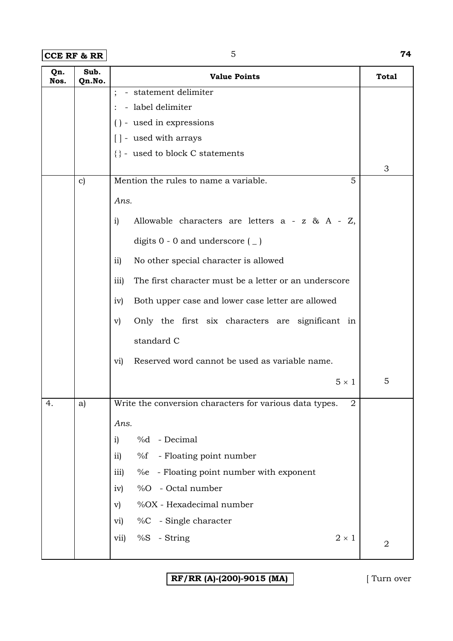**CCE RF & RR** 5 **74** 

| Qn.<br>Nos. | Sub.<br>Qn.No. | <b>Value Points</b>                                                   | <b>Total</b>   |
|-------------|----------------|-----------------------------------------------------------------------|----------------|
|             |                | - statement delimiter                                                 |                |
|             |                | - label delimiter                                                     |                |
|             |                | () - used in expressions                                              |                |
|             |                | [] - used with arrays                                                 |                |
|             |                | $\{\}$ - used to block C statements                                   |                |
|             |                | Mention the rules to name a variable.<br>5                            | 3              |
|             | $\mathbf{c})$  |                                                                       |                |
|             |                | Ans.                                                                  |                |
|             |                | Allowable characters are letters $a - z & A - Z$ ,<br>i)              |                |
|             |                | digits $0 - 0$ and underscore $( )$                                   |                |
|             |                | No other special character is allowed<br>$\overline{11}$              |                |
|             |                | The first character must be a letter or an underscore<br>iii)         |                |
|             |                | Both upper case and lower case letter are allowed<br>iv)              |                |
|             |                | Only the first six characters are significant in<br>$\mathbf{v})$     |                |
|             |                | standard C                                                            |                |
|             |                | Reserved word cannot be used as variable name.<br>$\rm{vi)}$          |                |
|             |                | $5 \times 1$                                                          | 5              |
| 4.          | a)             | Write the conversion characters for various data types.<br>$\sqrt{2}$ |                |
|             |                | Ans.                                                                  |                |
|             |                | %d - Decimal<br>i)                                                    |                |
|             |                | - Floating point number<br>$\%f$<br>$\overline{11}$                   |                |
|             |                | %e - Floating point number with exponent<br>iii)                      |                |
|             |                | %O - Octal number<br>iv)                                              |                |
|             |                | %OX - Hexadecimal number<br>$\mathbf{v})$                             |                |
|             |                | %C - Single character<br>vi)                                          |                |
|             |                | $2 \times 1$<br>%S - String<br>vii)                                   | $\overline{2}$ |
|             |                |                                                                       |                |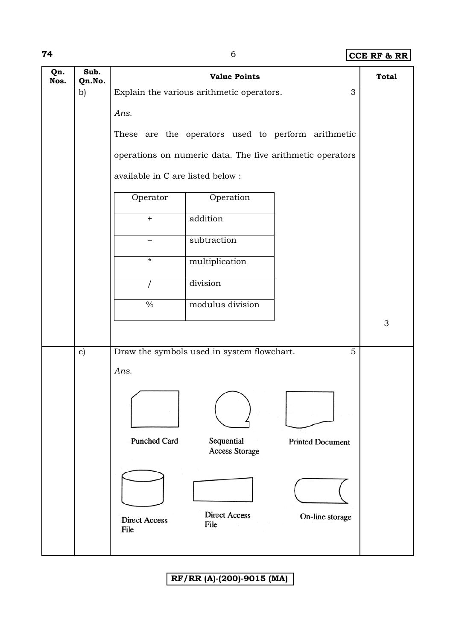**74** 6 **CCE RF & RR**

| Qn.<br>Nos. | Sub.<br>Qn.No. | <b>Value Points</b>                                             | <b>Total</b> |
|-------------|----------------|-----------------------------------------------------------------|--------------|
|             | b)             | Explain the various arithmetic operators.<br>3                  |              |
|             |                | Ans.                                                            |              |
|             |                |                                                                 |              |
|             |                | These are the operators used to perform arithmetic              |              |
|             |                | operations on numeric data. The five arithmetic operators       |              |
|             |                | available in C are listed below :                               |              |
|             |                | Operation<br>Operator                                           |              |
|             |                | addition<br>$+$                                                 |              |
|             |                | subtraction                                                     |              |
|             |                | $\star$<br>multiplication                                       |              |
|             |                | division                                                        |              |
|             |                | modulus division<br>$\frac{0}{0}$                               |              |
|             |                |                                                                 | 3            |
|             |                |                                                                 |              |
|             | $\mathbf{c})$  | Draw the symbols used in system flowchart.<br>5                 |              |
|             |                | Ans.                                                            |              |
|             |                |                                                                 |              |
|             |                |                                                                 |              |
|             |                | <b>Punched Card</b><br>Sequential<br><b>Printed Document</b>    |              |
|             |                | <b>Access Storage</b>                                           |              |
|             |                |                                                                 |              |
|             |                |                                                                 |              |
|             |                | <b>Direct Access</b><br>On-line storage<br><b>Direct Access</b> |              |
|             |                | File<br>File                                                    |              |
|             |                |                                                                 |              |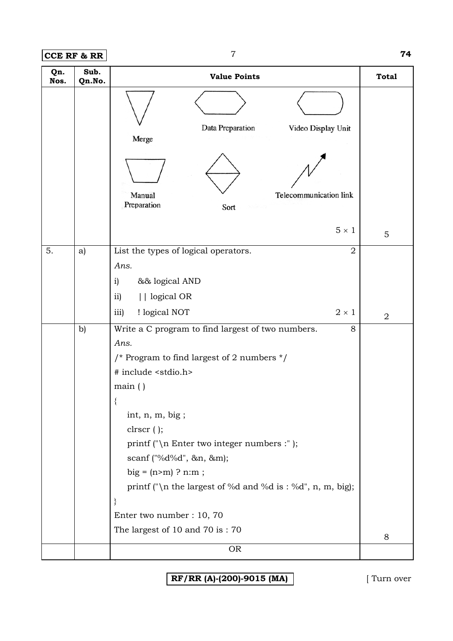**CCE RF & RR** 7 **74** 

| Qn.<br>Nos. | Sub.<br>Qn.No. | <b>Value Points</b>                                                                                                                                                                                                                                                                                                                                                                                                                        | <b>Total</b>   |
|-------------|----------------|--------------------------------------------------------------------------------------------------------------------------------------------------------------------------------------------------------------------------------------------------------------------------------------------------------------------------------------------------------------------------------------------------------------------------------------------|----------------|
|             |                | Data Preparation<br>Video Display Unit<br>Merge<br><b>Telecommunication link</b><br>Manual<br>Preparation<br>Sort                                                                                                                                                                                                                                                                                                                          |                |
|             |                | $5\times1$                                                                                                                                                                                                                                                                                                                                                                                                                                 | 5              |
| 5.          | a)             | List the types of logical operators.<br>$\overline{2}$<br>Ans.<br>&& logical AND<br>$\mathbf{i}$<br>    logical OR<br>ii)                                                                                                                                                                                                                                                                                                                  |                |
|             |                | ! logical NOT<br>$2 \times 1$<br>iii)                                                                                                                                                                                                                                                                                                                                                                                                      | $\overline{2}$ |
|             | b)             | Write a C program to find largest of two numbers.<br>8<br>Ans.<br>/* Program to find largest of 2 numbers $*/$<br># include <stdio.h><br/>main()<br/>int, n, m, big;<br/><math>\text{clrscr}</math> ( );<br/>printf ("\n Enter two integer numbers :");<br/>scanf ("%d%d", &amp;n, &amp;m);<br/><math>big = (n&gt;m) ? n:m ;</math><br/>printf ("\n the largest of %d and %d is : %d", n, m, big);<br/>Enter two number : 10, 70</stdio.h> |                |
|             |                | The largest of 10 and 70 is: 70                                                                                                                                                                                                                                                                                                                                                                                                            | 8              |
|             |                | <b>OR</b>                                                                                                                                                                                                                                                                                                                                                                                                                                  |                |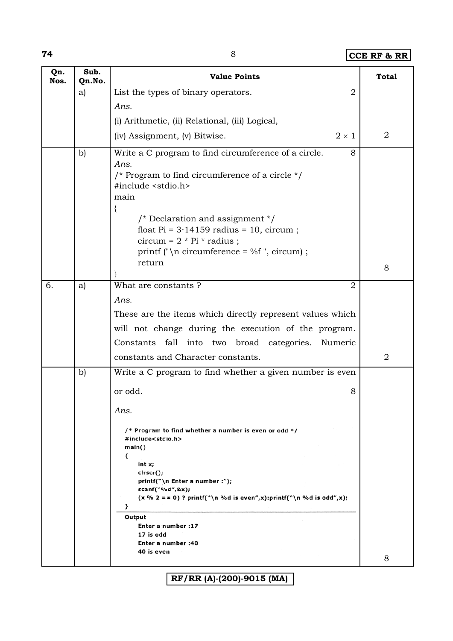## **74** 8 **CCE RF & RR**

| Qn.<br>Nos. | Sub.<br>Qn.No. | <b>Value Points</b>                                                                                                                                                                                                                                                                                                         | <b>Total</b>   |
|-------------|----------------|-----------------------------------------------------------------------------------------------------------------------------------------------------------------------------------------------------------------------------------------------------------------------------------------------------------------------------|----------------|
|             | a)             | List the types of binary operators.<br>$\overline{2}$                                                                                                                                                                                                                                                                       |                |
|             |                | Ans.                                                                                                                                                                                                                                                                                                                        |                |
|             |                | (i) Arithmetic, (ii) Relational, (iii) Logical,                                                                                                                                                                                                                                                                             |                |
|             |                | $2 \times 1$<br>(iv) Assignment, (v) Bitwise.                                                                                                                                                                                                                                                                               | 2              |
|             | $\mathbf{b}$   | 8<br>Write a C program to find circumference of a circle.<br>Ans.<br>/* Program to find circumference of a circle $*/$<br>#include <stdio.h><br/>main<br/>₹<br/>/* Declaration and assignment <math>*/</math><br/>float Pi = <math>3.14159</math> radius = 10, circum;<br/>circum = <math>2 * Pi * radius;</math></stdio.h> |                |
|             |                | printf ("\n circumference = %f", circum);                                                                                                                                                                                                                                                                                   |                |
|             |                | return                                                                                                                                                                                                                                                                                                                      | 8              |
| 6.          | a)             | What are constants?<br>$\overline{2}$<br>Ans.<br>These are the items which directly represent values which<br>will not change during the execution of the program.<br>Constants fall into two broad categories. Numeric                                                                                                     |                |
|             |                | constants and Character constants.                                                                                                                                                                                                                                                                                          | $\overline{2}$ |
|             | $\mathbf{b}$   | Write a C program to find whether a given number is even<br>or odd.<br>8<br>Ans.<br>/* Program to find whether a number is even or odd $*/$                                                                                                                                                                                 |                |
|             |                | #include <stdio.h><br/>main()<br/>₹<br/>int x;<br/>cirscr();<br/>printf("\n Enter a number :");<br/>scanf("%d",&amp;x);<br/><math>(x % 2 = 0)</math>? printf("\n %d is even",x):printf("\n %d is odd",x);<br/>}<br/>Output<br/>Enter a number :17<br/>17 is odd<br/>Enter a number:40<br/>40 is even</stdio.h>              | 8              |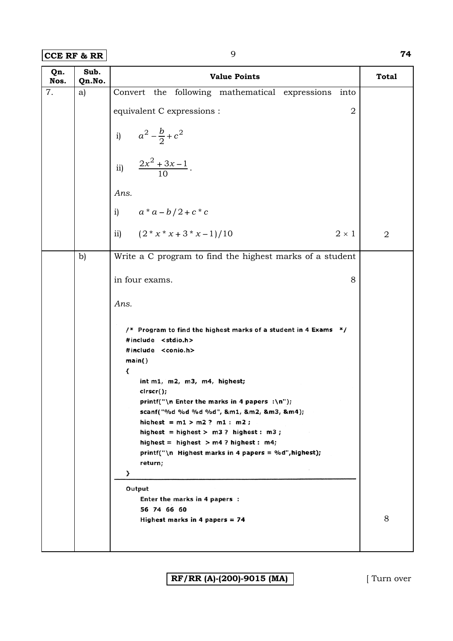**CCE RF & RR** 9 **74** 

| v<br>I<br>٦ |               |
|-------------|---------------|
| ć<br>×      |               |
|             | ۰.<br>٠<br>۰. |

| Qn.<br>Nos. | Sub.<br>Qn.No. | <b>Value Points</b>                                                                                                                                                                                                                                                                                                                                                                                                                                                                                                                                                                                                                                                                                                                                                                                                           | <b>Total</b>   |
|-------------|----------------|-------------------------------------------------------------------------------------------------------------------------------------------------------------------------------------------------------------------------------------------------------------------------------------------------------------------------------------------------------------------------------------------------------------------------------------------------------------------------------------------------------------------------------------------------------------------------------------------------------------------------------------------------------------------------------------------------------------------------------------------------------------------------------------------------------------------------------|----------------|
| 7.          | a)             | Convert the following mathematical expressions<br>into<br>equivalent C expressions :<br>$\overline{2}$<br>i) $a^2 - \frac{b}{2} + c^2$<br>ii) $\frac{2x^2 + 3x - 1}{10}$ .<br>Ans.<br>i) $a * a - b/2 + c * c$                                                                                                                                                                                                                                                                                                                                                                                                                                                                                                                                                                                                                |                |
|             |                | ii) $(2 * x * x + 3 * x - 1)/10$<br>$2 \times 1$                                                                                                                                                                                                                                                                                                                                                                                                                                                                                                                                                                                                                                                                                                                                                                              | $\overline{2}$ |
|             | b)             | Write a C program to find the highest marks of a student<br>8<br>in four exams.<br>Ans.<br>/* Program to find the highest marks of a student in 4 Exams */<br>#include <stdio.h><br/>#include <conio.h><br/>main()<br/>₹<br/>int m1, m2, m3, m4, highest;<br/>cirscr();<br/>printf("\n Enter the marks in 4 papers :\n");<br/>scanf("%d %d %d %d", &amp;m1, &amp;m2, &amp;m3, &amp;m4);<br/>highest = <math>m1 &gt; m2</math>? <math>m1 : m2</math>;<br/>highest = highest &gt; <math>m3</math>? highest : <math>m3</math>;<br/>highest = highest &gt; <math>m4</math> ? highest : <math>m4</math>;<br/>printf("\n Highest marks in 4 papers = <math>%</math>d", highest);<br/>return;<br/>}<br/>Output<br/>Enter the marks in 4 papers :<br/>56 74 66 60<br/>Highest marks in 4 papers = <math>74</math></conio.h></stdio.h> | 8              |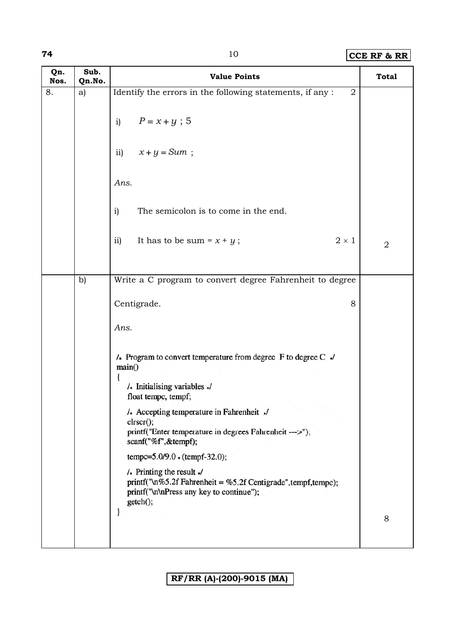## **74** 10 **CCE RF & RR**

| Qn.<br>Nos. | Sub.<br>Qn.No. | <b>Value Points</b>                                                                                                                                                                                                                                                                                                                                                                                                                                                                                                                                                  | <b>Total</b>   |
|-------------|----------------|----------------------------------------------------------------------------------------------------------------------------------------------------------------------------------------------------------------------------------------------------------------------------------------------------------------------------------------------------------------------------------------------------------------------------------------------------------------------------------------------------------------------------------------------------------------------|----------------|
| 8.          | a)             | Identify the errors in the following statements, if any :<br>$\overline{2}$<br>$P = x + y ; 5$<br>i)<br>$x + y = Sum$ ;<br>$\overline{11}$<br>Ans.<br>i)<br>The semicolon is to come in the end.                                                                                                                                                                                                                                                                                                                                                                     |                |
|             |                | $2\times1$<br>ii)<br>It has to be sum = $x + y$ ;                                                                                                                                                                                                                                                                                                                                                                                                                                                                                                                    | $\overline{2}$ |
|             | b)             | Write a C program to convert degree Fahrenheit to degree<br>Centigrade.<br>8<br>Ans.<br>/. Program to convert temperature from degree F to degree C $\sqrt{ }$<br>main()<br>/. Initialising variables ./<br>float tempc, tempf;<br>/ Accepting temperature in Fahrenheit /<br>clrscr();<br>printf("Enter temperature in degrees Fahrenheit --->");<br>scanf("%f",&tempf);<br>tempc=5.0/9.0 + (tempf-32.0);<br>/. Printing the result */<br>printf("\n%5.2f Fahrenheit = %5.2f Centigrade",tempf,tempc);<br>printf("\n\nPress any key to continue");<br>getch();<br>ł | 8              |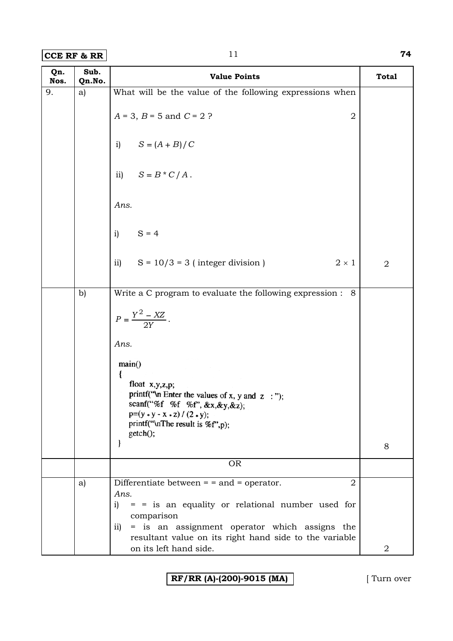**CCE RF & RR** 11 **74** 

| Qn.<br>Nos. | Sub.<br>Qn.No. | <b>Value Points</b>                                                                                                        | <b>Total</b>   |
|-------------|----------------|----------------------------------------------------------------------------------------------------------------------------|----------------|
| 9.          | a)             | What will be the value of the following expressions when                                                                   |                |
|             |                | $A = 3$ , $B = 5$ and $C = 2$ ?<br>$\sqrt{2}$                                                                              |                |
|             |                | $S = (A + B) / C$<br>i)                                                                                                    |                |
|             |                | ii) $S = B * C / A$ .                                                                                                      |                |
|             |                | Ans.                                                                                                                       |                |
|             |                | $S = 4$<br>i)                                                                                                              |                |
|             |                | $S = 10/3 = 3$ (integer division)<br>$2 \times 1$<br>ii)                                                                   | $\overline{2}$ |
|             | b)             | Write a C program to evaluate the following expression :<br>8                                                              |                |
|             |                | $P = \frac{Y^2 - XZ}{2Y}.$                                                                                                 |                |
|             |                | Ans.                                                                                                                       |                |
|             |                | main()                                                                                                                     |                |
|             |                | float $x, y, z, p$ ;<br>printf("In Enter the values of x, y and z :");                                                     |                |
|             |                | scanf("%f %f %f", $&x,&y,&z);$<br>$p=(y * y - x * z) / (2 * y);$<br>printf("\nThe result is %f",p);                        |                |
|             |                | getch();                                                                                                                   | 8              |
|             |                | <b>OR</b>                                                                                                                  |                |
|             | a)             | Differentiate between $=$ = and = operator.<br>$\overline{2}$<br>Ans.                                                      |                |
|             |                | $=$ = is an equality or relational number used for<br>i)<br>comparison                                                     |                |
|             |                | = is an assignment operator which assigns the<br>$\overline{11}$<br>resultant value on its right hand side to the variable |                |
|             |                | on its left hand side.                                                                                                     | 2              |